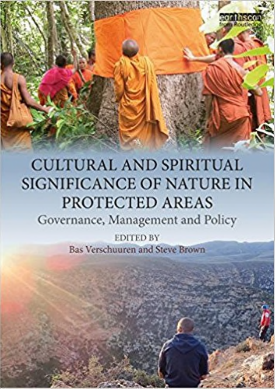

# **CULTURAL AND SPIRITUAL SIGNIFICANCE OF NATURE IN** PROTECTED AREAS

**MARY OF SHIPLE** 

Governance, Management and Policy

**EDITED BY** Bas Verschuuren and Steve Brown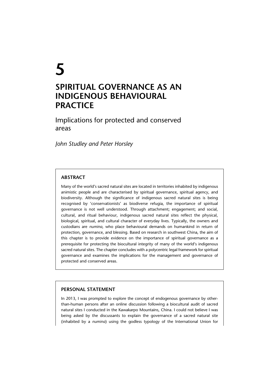# **5 SPIRITUAL GOVERNANCE AS AN INDIGENOUS BEHAVIOURAL PRACTICE**

Implications for protected and conserved areas

*John Studley and Peter Horsley*

# **ABSTRACT**

Many of the world's sacred natural sites are located in territories inhabited by indigenous animistic people and are characterised by spiritual governance, spiritual agency, and biodiversity. Although the significance of indigenous sacred natural sites is being recognised by 'conservationists' as biodiverse refugia, the importance of spiritual governance is not well understood. Through attachment; engagement; and social, cultural, and ritual behaviour, indigenous sacred natural sites reflect the physical, biological, spiritual, and cultural character of everyday lives. Typically, the owners and custodians are *numina*, who place behavioural demands on humankind in return of protection, governance, and blessing. Based on research in southwest China, the aim of this chapter is to provide evidence on the importance of spiritual governance as a prerequisite for protecting the biocultural integrity of many of the world's indigenous sacred natural sites. The chapter concludes with a polycentric legal framework for spiritual governance and examines the implications for the management and governance of protected and conserved areas.

# **PERSONAL STATEMENT**

In 2013, I was prompted to explore the concept of endogenous governance by otherthan-human persons after an online discussion following a biocultural audit of sacred natural sites I conducted in the Kawakarpo Mountains, China. I could not believe I was being asked by the discussants to explain the governance of a sacred natural site (inhabited by a *numina*) using the godless typology of the International Union for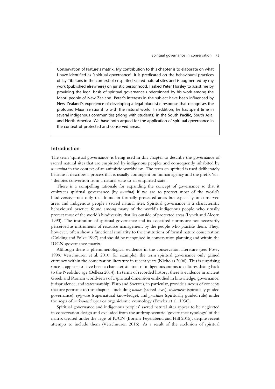Conservation of Nature's matrix. My contribution to this chapter is to elaborate on what I have identified as 'spiritual governance'. It is predicated on the behavioural practices of lay Tibetans in the context of enspirited sacred natural sites and is augmented by my work (published elsewhere) on juristic personhood. I asked Peter Horsley to assist me by providing the legal basis of spiritual governance underpinned by his work among the Maori people of New Zealand. Peter's interests in the subject have been influenced by New Zealand's experience of developing a legal pluralistic response that recognises the profound Maori relationship with the natural world. In addition, he has spent time in several indigenous communities (along with students) in the South Pacific, South Asia, and North America. We have both argued for the application of spiritual governance in the context of protected and conserved areas.

## **Introduction**

The term 'spiritual governance' is being used in this chapter to describe the governance of sacred natural sites that are enspirited by indigenous peoples and consequently inhabited by a *numina* in the context of an animistic worldview. The term en-spirited is used deliberately because it describes a process that is usually contingent on human agency and the prefix 'en- ' denotes conversion from a natural state to an enspirited state.

There is a compelling rationale for expanding the concept of governance so that it embraces spiritual governance (by *numina*) if we are to protect most of the world's biodiversity—not only that found in formally protected areas but especially in conserved areas and indigenous people's sacred natural sites. Spiritual governance is a characteristic behavioural practice found among many of the world's indigenous people who ritually protect most of the world's biodiversity that lies outside of protected areas (Lynch and Alcorn 1993). The institution of spiritual governance and its associated norms are not necessarily perceived as instruments of resource management by the people who practise them. They, however, often show a functional similarity to the institutions of formal nature conservation (Colding and Folke 1997) and should be recognised in conservation planning and within the IUCN'sgovernance matrix.

Although there is phenomenological evidence in the conservation literature (see: Posey 1999; Verschuuren et al. 2010, for example), the term spiritual governance only gained currency within the conservation literature in recent years (Nicholas 2006). This is surprising since it appears to have been a characteristic trait of indigenous animistic cultures dating back to the Neolithic age (Belleza 2014). In terms of recorded history, there is evidence in ancient Greek and Roman worldviews of a spiritual dimension embodied in knowledge, governance, jurisprudence, and statesmanship. Plato and Socrates, in particular, provide a nexus of concepts that are germane to this chapter—including *nomos* (sacred laws), *kybernesis* (spiritually guided governance), *epignosis* (supernatural knowledge), and *gnostikos* (spiritually guided rule) under the aegis of *makro-anthropos* or organicismic cosmology (Fowler et al. 1930).

Spiritual governance and indigenous peoples' sacred natural sites appear to be neglected in conservation design and excluded from the anthropocentric 'governance typology' of the matrix created under the aegis of IUCN (Borrini-Feyerabend and Hill 2015), despite recent attempts to include them (Verschuuren 2016). As a result of the exclusion of spiritual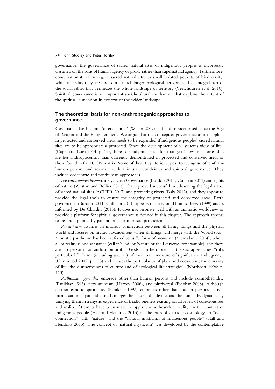governance, the governance of sacred natural sites of indigenous peoples is incorrectly classified on the basis of human agency or proxy rather than supernatural agency. Furthermore, conservationists often regard sacred natural sites as small isolated pockets of biodiversity, while in reality they are nodes in a much larger ecological network and an integral part of the social fabric that permeates the whole landscape or territory (Verschuuren et al. 2010). Spiritual governance is an important social-cultural mechanism that explains the extent of the spiritual dimension in context of the wider landscape.

# **The theoretical basis for non-anthropogenic approaches to governance**

Governance has become 'disenchanted' (Weber 2009) and anthropocentrised since the Age of Reason and the Enlightenment. We argue that the concept of governance as it is applied in protected and conserved areas needs to be expanded if indigenous peoples' sacred natural sites are to be appropriately protected. Since the development of a "systems view of life" (Capra and Luisi 2014: p. 12), there is paradigmic space for a range of new trajectories that are less anthropocentric than currently demonstrated in protected and conserved areas or those found in the IUCN matrix. Some of these trajectories appear to recognise other-thanhuman persons and resonate with animistic worldviews and spiritual governance. They include ecocentric and posthuman approaches.

*Ecocentric approaches*—namely, Earth Governance (Burdon 2011; Cullinan 2011) and rights of nature (Weston and Bollier 2013)—have proved successful in advancing the legal status of sacred natural sites (ACHPR 2017) and protecting rivers (Daly 2012), and they appear to provide the legal tools to ensure the integrity of protected and conserved areas. Earth governance (Burdon 2011; Cullinan 2011) appears to draw on Thomas Berry (1999) and is informed by De Chardin (2015). It does not resonate well with an animistic worldview or provide a platform for spiritual governance as defined in this chapter. The approach appears to be underpinned by panentheism or monistic pantheism.

*Panentheism* assumes an intrinsic connection between all living things and the physical world and focuses on mystic advancement when all things will merge with the 'world soul'. Monistic pantheism has been referred to as "a form of monism" (Mercadante 2014), where all of reality is one substance (call it 'God' or Nature or the Universe, for example), and there are no personal or anthropomorphic Gods. Furthermore, pantheistic approaches "robs particular life forms (including *numina*) of their own measure of significance and agency" (Plumwood 2002: p. 128) and "erases the particularity of place and ecosystem, the diversity of life, the distinctiveness of culture and of ecological life strategies" (Northcott 1996: p. 113).

*Posthuman approaches* embrace other-than-human persons and include cosmotheandric (Panikkar 1993), new animism (Harvey 2006), and pluriversal (Escobar 2008). Although cosmotheandric spirituality (Panikkar 1993) embraces other-than-human persons, it is a manifestation of panentheism. It merges the natural, the divine, and the human by dynamically unifying them in a mystic experience of triadic oneness existing on all levels of consciousness and reality. Attempts have been made to apply cosmotheandric 'reality' in the context of indigenous people (Hall and Hendriks 2013) on the basis of a triadic cosmology—a "deep connection" with "nature" and the "natural mysticism of Indigenous people" (Hall and Hendriks 2013). The concept of 'natural mysticism' was developed by the contemplative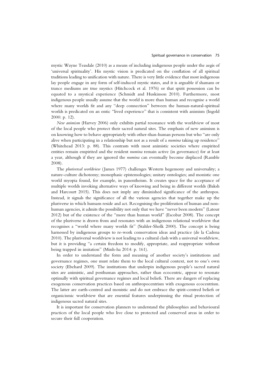mystic Wayne Teasdale (2010) as a means of including indigenous people under the aegis of 'universal spirituality'. His mystic vision is predicated on the conflation of all spiritual traditions leading to unification with nature. There is very little evidence that most indigenous lay people engage in any form of self-induced mystic states, and it is arguable if shamans or trance mediums are true mystics (Hitchcock et al. 1976) or that spirit possession can be equated to a mystical experience (Schmidt and Huskinson 2010). Furthermore, most indigenous people usually assume that the world is more than human and recognise a world where many worlds fit and any "deep connection" between the human-natural-spiritual worlds is predicated on an ontic "lived experience" that is consistent with animism (Ingold 2000: p. 12).

*New animism* (Harvey 2006) only exhibits partial resonance with the worldview of most of the local people who protect their sacred natural sites. The emphasis of new animism is on knowing how to behave appropriately with other-than-human persons but who "are only alive when participating in a relationship but not as a result of a *numina* taking up residence" (Whitehead 2013: p. 88). This contrasts with most animistic societies where enspirited entities remain enspirited and the resident *numina* remain active (in governance) for at least a year, although if they are ignored the *numina* can eventually become displaced (Ramble 2008).

The *pluriversal worldview* (James 1977) challenges Western hegemony and universality; a nature-culture dichotomy; monophasic epistemologies; unitary ontologies; and monistic one world myopia found, for example, in panentheism. It creates space for the acceptance of multiple worlds invoking alternative ways of knowing and being in different worlds (Baksh and Harcourt 2015). This does not imply any diminished significance of the anthropos. Instead, it signals the significance of all the various agencies that together make up the pluriverse in which humans reside and act. Recognising the proliferation of human and nonhuman agencies, it admits the possibility not only that we have "never been modern" (Latour 2012) but of the existence of the "more than human world" (Escobar 2008). The concept of the pluriverse is drawn from and resonates with an indigenous relational worldview that recognises a "world where many worlds fit" (Stahler-Sholk 2000). The concept is being harnessed by indigenous groups to re-work conservation ideas and practice (de la Cadena 2010). The pluriversal worldview is not leading to a cultural clash with a universal worldview, but it is providing "a certain freedom to modify, appropriate, and reappropriate without being trapped in imitation" (Minh-ha 2014: p. 161).

In order to understand the form and meaning of another society's institutions and governance regimes, one must relate them to the local cultural context, not to one's own society (Ebehard 2009). The institutions that underpin indigenous people's sacred natural sites are animistic, and posthuman approaches, rather than ecocentric, appear to resonate optimally with spiritual governance regimes and local beliefs. There are dangers of replacing exogenous conservation practices based on anthropocentrism with exogenous ecocentrism. The latter are earth-centred and monistic and do not embrace the spirit-centred beliefs or organicismic worldview that are essential features underpinning the ritual protection of indigenous sacred natural sites.

It is important for conservation planners to understand the philosophies and behavioural practices of the local people who live close to protected and conserved areas in order to secure their full cooperation.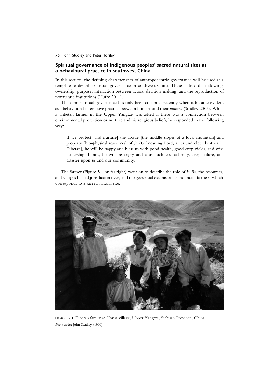# **Spiritual governance of Indigenous peoples' sacred natural sites as a behavioural practice in southwest China**

In this section, the defining characteristics of anthropocentric governance will be used as a template to describe spiritual governance in southwest China. These address the following: ownership, purpose, interaction between actors, decision-making, and the reproduction of norms and institutions (Hufty 2011).

The term spiritual governance has only been co-opted recently when it became evident as a behavioural interactive practice between humans and their *numina* (Studley 2005). When a Tibetan farmer in the Upper Yangtze was asked if there was a connection between environmental protection or nurture and his religious beliefs, he responded in the following way:

If we protect [and nurture] the abode [the middle slopes of a local mountain] and property [bio-physical resources] of *Jo Bo* [meaning Lord, ruler and elder brother in Tibetan], he will be happy and bless us with good health, good crop yields, and wise leadership. If not, he will be angry and cause sickness, calamity, crop failure, and disaster upon us and our community.

The farmer (Figure 5.1 on far right) went on to describe the role of *Jo Bo*, the resources, and villages he had jurisdiction over, and the geospatial extents of his mountain fastness, which corresponds to a sacred natural site.



**FIGURE 5.1** Tibetan family at Honsa village, Upper Yangtze, Sichuan Province, China *Photo credit*: John Studley (1999).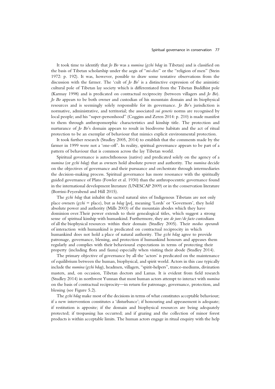#### Spiritual governance in conservation 77

It took time to identify that *Jo Bo* was a *numina* (*gzhi bdag* in Tibetan) and is classified on the basis of Tibetan scholarship under the aegis of "*mi-chos*" or the "religion of men" (Stein 1972: p. 192). It was, however, possible to draw some tentative observations from the discussion with the farmer. The 'cult of *Jo Bo*' is a distinctive expression of the animistic cultural pole of Tibetan lay society which is differentiated from the Tibetan Buddhist pole (Karmay 1998) and is predicated on contractual reciprocity (between villagers and *Jo Bo*). *Jo Bo* appears to be both owner and custodian of his mountain domain and its biophysical resources and is seemingly solely responsible for its governance. *Jo Bo*'s jurisdiction is normative, administrative, and territorial; the associated *sui generis* norms are recognised by local people; and his "super-personhood" (Coggins and Zeren 2014: p. 210) is made manifest to them through anthropomorphic characteristics and kinship title. The protection and nurturance of *Jo Bo*'s domain appears to result in biodiverse habitats and the act of ritual protection to be an exemplar of behaviour that mimics explicit environmental protection.

It took further research (Studley 2005, 2014) to establish that the comments made by the farmer in 1999 were not a 'one-off '. In reality, spiritual governance appears to be part of a pattern of behaviour that is common across the lay Tibetan world.

Spiritual governance is autochthonous (native) and predicated solely on the agency of a *numina* (or *gzhi bdag*) that as owners hold absolute power and authority. The *numina* decide on the objectives of governance and their pursuance and orchestrate through intermediaries the decision-making process. Spiritual governance has more resonance with the spiritually guided governance of Plato (Fowler et al. 1930) than the anthropocentric governance found in the international development literature (UNESCAP 2009) or in the conservation literature (Borrini-Feyerabend and Hill 2015).

The *gzhi bdag* that inhabit the sacred natural sites of Indigenous Tibetans are not only place owners (*gzhi* = place), but as *bdag* [*po*], meaning 'Lords' or 'Governors', they hold absolute power and authority (Mills 2003) of the mountain abodes which they have dominion over.Their power extends to their genealogical titles, which suggest a strong sense of spiritual kinship with humankind. Furthermore, they are *de jure/de facto* custodians of all the biophysical resources within their domain (Studley 2005). Their *modus operandi* of interaction with humankind is predicated on contractual reciprocity in which humankind does not hold a place of natural authority. The *gzhi bdag* agree to provide patronage, governance, blessing, and protection if humankind honours and appeases them regularly and complies with their behavioural expectations in terms of protecting their property (including flora and fauna) especially when visiting their abode (Studley 2014).

The primary objective of governance by all the 'actors' is predicated on the maintenance of equilibrium between the human, biophysical, and spirit world. Actors in this case typically include the *numina* (*gzhi bdag*), headmen, villagers, "spirit-helpers", trance-mediums, divination masters, and, on occasion, Tibetan doctors and Lamas. It is evident from field research (Studley 2014) in northwest Yunnan that most human actors attempt to interact with *numina* on the basis of contractual reciprocity—in return for patronage, governance, protection, and blessing (see Figure 5.2).

The *gzhi bdag* make most of the decisions in terms of what constitutes acceptable behaviour; if a new intervention constitutes a 'disturbance'; if honouring and appeasement is adequate; if restitution is apposite; if the domain and biophysical resources are being adequately protected; if trespassing has occurred; and if grazing and the collection of minor forest products is within acceptable limits. The human actors engage in ritual enquiry with the help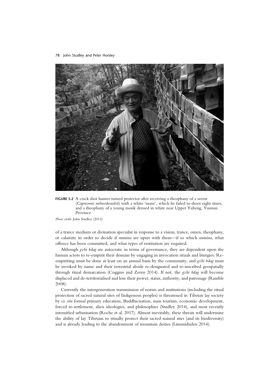

**FIGURE 5.2** A crack shot hunter turned protector after receiving a theophany of a serow (*Capricornis milneedwardsii*) with a white 'mane', which he failed to shoot eight times, and a theophany of a young monk dressed in white near Upper Yubeng, Yunnan Province

*Photo credit*: John Studley (2013).

of a trance medium or divination specialist in response to a vision, trance, omen, theophany, or calamity in order to decide if *numina* are upset with them—if so which *numina*, what offence has been committed, and what types of restitution are required.

Although *gzhi bdag* are autocratic in terms of governance, they are dependent upon the human actors to re-enspirit their domain by engaging in invocation rituals and liturgies. Reenspiriting must be done at least on an annual basis by the community, and *gzhi bdag* must be invoked by name and their terrestrial abode re-designated and re-inscribed geospatially through ritual demarcation (Coggins and Zeren 2014). If not, the *gzhi bdag* will become displaced and de-territorialised and lose their power, status, authority, and patronage (Ramble 2008).

Currently the intergeneration transmission of norms and institutions (including the ritual protection of sacred natural sites of Indigenous peoples) is threatened in Tibetan lay society by *ex situ* formal primary education, Buddhicisation, mass tourism, economic development, forced re-settlement, alien ideologies, and philosophies (Studley 2014), and most recently intensified urbanisation (Roche et al. 2017). Almost inevitably, these threats will undermine the ability of lay Tibetans to ritually protect their sacred natural sites (and its biodiversity) and is already leading to the abandonment of mountain deities (Limusishiden 2014).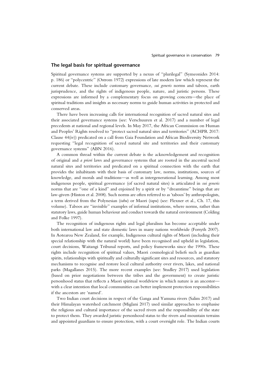## **The legal basis for spiritual governance**

Spiritual governance systems are supported by a nexus of "plurilegal" (Symeonides 2014: p. 186) or "polycentric" (Ostrom 1972) expressions of late modern law which represent the current debate. These include customary governance, *sui generis* norms and taboos, earth jurisprudence, and the rights of indigenous people, nature, and juristic persons. These expressions are informed by a complementary focus on growing concern—the place of spiritual traditions and insights as necessary norms to guide human activities in protected and conserved areas.

There have been increasing calls for international recognition of sacred natural sites and their associated governance systems (see: Verschuuren et al. 2017) and a number of legal precedents at national and regional levels. In May 2017, the African Commission on Human and Peoples' Rights resolved to "protect sacred natural sites and territories" (ACHPR 2017: Clause 44(iv)) predicated on a call from Gaia Foundation and African Biodiversity Network requesting "legal recognition of sacred natural site and territories and their customary governance systems" (ABN 2016).

A common thread within the current debate is the acknowledgement and recognition of original and *a priori* laws and governance systems that are rooted in the ancestral sacred natural sites and territories and predicated on a spiritual connection with the earth that provides the inhabitants with their basis of customary law, norms, institutions, sources of knowledge, and morals and traditions—as well as intergenerational learning. Among most indigenous people, spiritual governance (of sacred natural sites) is articulated in *sui generis* norms that are "one of a kind" and enjoined by a spirit or by "dreamtime" beings that are law-givers (Hinton et al. 2008). Such norms are often referred to as 'taboos' by anthropologists, a term derived from the Polynesian (*tabu*) or Maori (*tapu*) (see: Flexner et al., Ch. 17, this volume). Taboos are "invisible" examples of informal institutions, where norms, rather than statutory laws, guide human behaviour and conduct towards the natural environment (Colding and Folke 1997).

The recognition of indigenous rights and legal pluralism has become acceptable under both international law and state domestic laws in many nations worldwide (Forsyth 2007). In Aotearoa New Zealand, for example, Indigenous cultural rights of Maori (including their special relationship with the natural world) have been recognised and upheld in legislation, court decisions, Waitangi Tribunal reports, and policy frameworks since the 1990s. These rights include recognition of spiritual values, Maori cosmological beliefs such as guardian spirits, relationships with spiritually and culturally significant sites and resources, and statutory mechanisms to recognise and restore local cultural authority over rivers, lakes, and national parks (Magallanes 2015). The more recent examples (see: Studley 2017) used legislation (based on prior negotiations between the tribes and the government) to create juristic personhood status that reflects a Maori spiritual worldview in which nature is an ancestor with a clear intention that local communities can better implement protection responsibilities if the ancestors are 'named'.

Two Indian court decisions in respect of the Ganga and Yamuna rivers (Salim 2017) and their Himalayan watershed catchment (Miglani 2017) used similar approaches to emphasise the religious and cultural importance of the sacred rivers and the responsibility of the state to protect them. They awarded juristic personhood status to the rivers and mountain terrains and appointed guardians to ensure protection, with a court oversight role. The Indian courts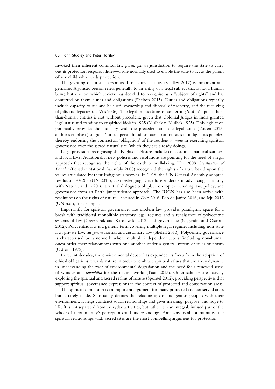invoked their inherent common law *parens patriae* jurisdiction to require the state to carry out its protection responsibilities—a role normally used to enable the state to act as the parent of any child who needs protection.

The granting of juristic personhood to natural entities (Studley 2017) is important and germane. A juristic person refers generally to an entity or a legal subject that is not a human being but one on which society has decided to recognise as a "subject of rights" and has conferred on them duties and obligations (Shelton 2015). Duties and obligations typically include capacity to sue and be sued, ownership and disposal of property, and the receiving of gifts and legacies (de Vos 2006). The legal implications of conferring 'duties' upon otherthan-human entities is not without precedent, given that Colonial Judges in India granted legal status and standing to enspirited idols in 1925 (Mullick v. Mullick 1925). This legislation potentially provides the judiciary with the precedent and the legal tools (Totten 2015, author's emphasis) to grant 'juristic personhood' to sacred natural sites of indigenous peoples, thereby endorsing the contractual 'obligation' of the resident *numina* in exercising spiritual governance over the sacred natural site (which they are already doing).

Legal provisions recognising the Rights of Nature include constitutions, national statutes, and local laws. Additionally, new policies and resolutions are pointing for the need of a legal approach that recognises the rights of the earth to well-being. The 2008 *Constitution of Ecuador* (Ecuador National Assembly 2008) recognised the rights of nature based upon the values articulated by their Indigenous peoples. In 2015, the UN General Assembly adopted resolution 70/208 (UN 2015), acknowledging Earth Jurisprudence in advancing Harmony with Nature, and in 2016, a virtual dialogue took place on topics including law, policy, and governance from an Earth jurisprudence approach. The IUCN has also been active with resolutions on the rights of nature—secured in Oslo 2016, Rio de Janiro 2016, and Jeju 2012 (UN n.d.), for example.

Importantly for spiritual governance, late modern law provides paradigmic space for a break with traditional monolithic statutory legal regimes and a renaissance of polycentric systems of law (Grzeszczak and Karolewski 2012) and governance (Nagendra and Ostrom 2012). Polycentric law is a generic term covering multiple legal regimes including non-state law, private law, *sui generis* norms, and customary law (Sheleff 2013). Polycentric governance is characterised by a network where multiple independent actors (including non-human ones) order their relationships with one another under a general system of rules or norms (Ostrom 1972).

In recent decades, the environmental debate has expanded its focus from the adoption of ethical obligations towards nature in order to embrace spiritual values that are a key dynamic in understanding the root of environmental degradation and the need for a renewed sense of wonder and *topophilia* for the natural world (Tuan 2013). Other scholars are actively exploring the spiritual and sacred realms of nature (Sponsel 2012), providing perspectives that support spiritual governance expressions in the context of protected and conservation areas.

The spiritual dimension is an important argument for many protected and conserved areas but is rarely made. Spirituality defines the relationships of indigenous peoples with their environment; it helps construct social relationships and gives meaning, purpose, and hope to life. It is not separated from everyday activities, but rather it is an integral, infused part of the whole of a community's perceptions and understandings. For many local communities, the spiritual relationships with sacred sites are the most compelling argument for protection.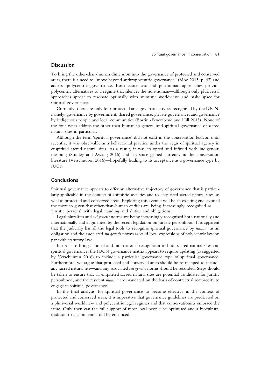# **Discussion**

To bring the other-than-human dimension into the governance of protected and conserved areas, there is a need to "move beyond anthropocentric governance" (Moo 2015: p. 42) and address polycentric governance. Both ecocentric and posthuman approaches provide polycentric alternatives to a regime that silences the non-human—although only pluriversal approaches appear to resonate optimally with animistic worldviews and make space for spiritual governance.

Currently, there are only four protected area governance types recognised by the IUCN: namely, governance by government, shared governance, private governance, and governance by indigenous people and local communities (Borrini-Feyerabend and Hill 2015). None of the four types address the other-than-human in general and spiritual governance of sacred natural sites in particular.

Although the term 'spiritual governance' did not exist in the conservation lexicon until recently, it was observable as a behavioural practice under the aegis of spiritual agency in enspirited sacred natural sites. As a result, it was co-opted and infused with indigenous meaning (Studley and Awang 2016) and has since gained currency in the conservation literature (Verschuuren 2016)—hopefully leading to its acceptance as a governance type by IUCN.

# **Conclusions**

Spiritual governance appears to offer an alternative trajectory of governance that is particularly applicable in the context of animistic societies and to enspirited sacred natural sites, as well as protected and conserved areas. Exploring this avenue will be an exciting endeavor,all the more so given that other-than-human entities are being increasingly recognised as 'juristic persons' with legal standing and duties and obligations.

Legal pluralism and *sui generis* norms are being increasingly recognised both nationally and internationally and augmented by the recent legislation on juristic personhood. It is apparent that the judiciary has all the legal tools to recognise spiritual governance by *numina* as an obligation and the associated *sui generis* norms as valid local expressions of polycentric law on par with statutory law.

In order to bring national and international recognition to both sacred natural sites and spiritual governance, the IUCN governance matrix appears to require updating (as suggested by Verschuuren 2016) to include a particular governance type of spiritual governance. Furthermore, we argue that protected and conserved areas should be re-mapped to include any sacred natural site—and any associated *sui generis* norms should be recorded. Steps should be taken to ensure that all enspirited sacred natural sites are potential candidates for juristic personhood, and the resident *numina* are mandated on the basis of contractual reciprocity to engage in spiritual governance.

In the final analysis, for spiritual governance to become effective in the context of protected and conserved areas, it is imperative that governance guidelines are predicated on a pluriversal worldview and polycentric legal regimes and that conservationists embrace the same. Only then can the full support of most local people be optimised and a biocultural tradition that is millennia old be enhanced.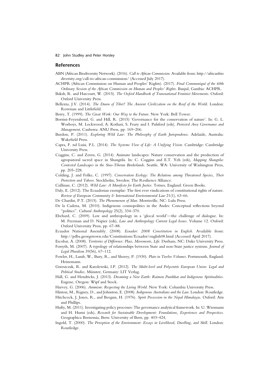#### **References**

- ABN (African Biodiversity Network). (2016). *Call to African Commission*. Available from: http://africanbio diversity.org/call-to-african-commission/ (Accessed July 2017).
- ACHPR (African Commission on Human and Peoples' Rights). (2017). *Final Communiqué of the 60th Ordinary Session of the African Commission on Human and Peoples' Rights*. Banjul, Gambia: ACHPR.
- Baksh, R. and Harcourt, W. (2015). *The Oxford Handbook of Transnational Feminist Movements*. Oxford: Oxford University Press.
- Bellezza, J.V. (2014). *The Dawn of Tibet? The Ancient Civilization on the Roof of the World*. London: Rowman and Littlefield.
- Berry, T. (1999). *The Great Work: Our Way to the Future*. New York: Bell Tower.
- Borrini-Feyerabend, G. and Hill, R. (2015) 'Governance for the conservation of nature'. In: G. L. Worboys, M. Lockwood, A. Kothari, S. Feary and I. Pulsford (eds), *Protected Area Governance and Management*, Canberra: ANU Press, pp. 169–206.
- Burdon, P. (2011). *Exploring Wild Law: The Philosophy of Earth Jurisprudence*. Adelaide, Australia: Wakefield Press.
- Capra, F. nd Luisi, P.L. (2014). *The Systems View of Life: A Unifying Vision*. Cambridge: Cambridge University Press.
- Coggins, C. and Zeren, G. (2014). Animate landscapes: Nature conservation and the production of agropastoral sacred space in Shangrila. In: C. Coggins and E.T. Yeh (eds), *Mapping Shangrila: Contested Landscapes in the Sino-Tibetan Borderlands*. Seattle, WA: University of Washington Press, pp. 205–228.
- Colding, J. and Folke, C. (1997). *Conservation Ecology: The Relations among Threatened Species, Their Protection and Taboos*. Stockholm, Sweden: The Resilience Alliance.
- Cullinan, C. (2012). *Wild Law: A Manifesto for Earth Justice*. Totnes, England: Green Books.
- Daly, E. (2012). The Ecuadorian exemplar: The first ever vindications of constitutional rights of nature. *Review of European Community & International Environmental Law* 21(1), 63–66.
- De Chardin, P.T. (2015). *The Phenomenon of Man*. Morrisville, NC: Lulu Press.
- De la Cadena, M. (2010). Indigenous cosmopolitics in the Andes: Conceptual reflections beyond "politics". *Cultural Anthropology* 25(2), 334–370.
- Ebehard, C. (2009). Law and anthropology in a 'glocal world'—the challenge of dialogue. In: M. Freeman and D. Napier (eds), *Law and Anthropology Current Legal Issues*. Volume 12. Oxford: Oxford University Press, pp. 67–88.
- Ecuador National Assembly. (2008). *Ecuador: 2008 Constitution in English*. Available from: http://pdba.georgetown.edu/Constitutions/Ecuador/english08.html (Accessed April 2017).
- Escobar, A. (2008). *Territories of Difference: Place, Movements, Life*. Durham, NC: Duke University Press. Forsyth, M. (2007). A typology of relationships between State and non-State justice systems. *Journal of Legal Pluralism* 39(56), 67–112.
- Fowler, H., Lamb, W., Bury, R., and Shorey, P. (1930). *Plato in Twelve Volumes*. Portsmouth, England: Heinemann.
- Grzeszczak, R. and Karolewski, I.P. (2012). *The Multi-level and Polycentric European Union: Legal and Political Studies*. Münster, Germany: LIT Verlag.
- Hall, G. and Hendricks, J. (2013). *Dreaming a New Earth: Raimon Panikkar and Indigenous Spiritualities*. Eugene, Oregon: Wipf and Stock.
- Harvey, G. (2006). *Animism: Respecting the Living World*. New York: Columbia University Press.
- Hinton, M., Rigney, D., and Johnston, E. (2008). *Indigenous Australians and the Law*. London: Routledge.
- Hitchcock, J, Jones, R., and Beegun, H. (1976). *Spirit Possession in the Nepal Himalayas*. Oxford: Aris and Phillips.
- Hufty, M. (2011). Investigating policy processes: The governance analytical framework. In: U. Wiesmann and H. Hurni (eds), *Research for Sustainable Development: Foundations, Experiences and Perspectices*. Geographica Bernensia, Bern: University of Bern, pp. 403–424,
- Ingold, T. (2000). *The Perception of the Environment: Essays in Livelihood, Dwelling, and Skill*. London: Routledge.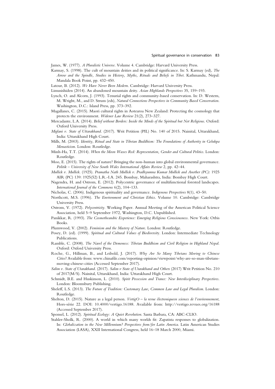James, W. (1977). *A Pluralistic Universe*. Volume 4. Cambridge: Harvard University Press.

Karmay, S. (1998). The cult of mountain deities and its political significance. In: S. Karmay (ed), *The Arrow and the Spindle, Studies in History, Myths, Rituals and Beliefs in Tibet*. Kathmandu, Nepal: Mandala Book Point, pp. 432–450.

Latour, B. (2012). *We Have Never Been Modern*. Cambridge: Harvard University Press.

- Limusishiden (2014). An abandoned mountain deity. *Asian Highlands Perspectives* 35, 159–193.
- Lynch, O. and Alcorn, J. (1993). Tenurial rights and community-based conservation. In: D. Western, M. Wright, M., and D. Strum (eds), *Natural Connections Perspectives in Community Based Conservation*. Washington, D.C.: Island Press, pp. 373–392.
- Magallanes, C. (2015). Maori cultural rights in Aotearoa New Zealand: Protecting the cosmology that protects the environment. *Widener Law Review* 21(2), 273–327.
- Mercadante, L.A. (2014). *Belief without Borders: Inside the Minds of the Spiritual but Not Religious*. Oxford: Oxford University Press.
- *Miglani v. State of Uttarakhand*. (2017). Writ Petition (PIL) No. 140 of 2015. Nainital, Uttarakhand, India: Uttarakhand High Court.
- Mills, M. (2003). *Identity, Ritual and State in Tibetan Buddhism: The Foundations of Authority in Gelukpa Monasticism*. London: Routledge.
- Minh-Ha, T.T. (2014). *When the Moon Waxes Red: Representation, Gender and Cultural Politics*. London: Routledge.
- Moo, E. (2015). The rights of nature? Bringing the non-human into global environmental governance. *Politik – University of New South Wales International Affairs Review* 2, pp. 42–44.

*Mullick v. Mullick*. (1925). *Pramatha Nath Mullick v. Pradhyumna Kumar Mullick and Another (PC)*: 1925 AIR (PC) 139: 1925(52) L.R.-I.A. 245. Bombay, Maharashtra, India: Bombay High Court.

Nagendra, H. and Ostrom, E. (2012). Polycentric governance of multifunctional forested landscapes. *International Journal of the Commons* 6(2), 104–133.

Nicholas, C. (2006). Indigenous spirituality and governance. *Indigenous Perspectives* 8(1), 43–50.

- Northcott, M.S. (1996). *The Environment and Christian Ethics*. Volume 10. Cambridge: Cambridge University Press.
- Ostrom, V. (1972). *Polycentricity*. Working Paper. Annual Meeting of the American Political Science Association, held 5–9 September 1972, Washington, D.C. Unpublished.
- Panikkar, R. (1993). *The Cosmotheandric Experience: Emerging Religious Consciousness*. New York: Orbis Books.
- Plumwood, V. (2002). *Feminism and the Mastery of Nature*. London: Routledge.
- Posey, D. (ed). (1999). *Spiritual and Cultural Values of Biodiversit*y. London: Intermediate Technology Publications.
- Ramble, C. (2008). *The Navel of the Demoness: Tibetan Buddhism and Civil Religion in Highland Nepal*. Oxford: Oxford University Press.
- Roche, G., Hillman, B., and Leibold, J. (2017). *Why Are So Many Tibetans Moving to Chinese Cities*? Available from: www.chinafile.com/reporting-opinion/viewpoint/why-are-so-man-tibetansmoving-chinese-cities (Accessed September 2017).
- *Salim v. State of Utarakhand*. (2017). *Salim v State of Utarakhand and Others* (2017) Writ Petition No. 210 of 2017(M/S). Nainital, Uttarakhand, India: Uttarakhand High Court.
- Schmidt, B.E. and Huskinson, L. (2010). *Spirit Possession and Trance: New Interdisciplinary Perspectives*. London: Bloomsbury Publishing.
- Sheleff, L.S. (2013). *The Future of Tradition: Customary Law, Common Law and Legal Pluralism*. London: Routledge.
- Shelton, D. (2015). Nature as a legal person. *VertigO la revue électroniqueen sciences de l'environnement*, Hors-série 22. DOI: 10.4000/vertigo.16188. Available from: http://vertigo.revues.org/16188 (Accessed September 2017).
- Sponsel, L. (2012). *Spiritual Ecology: A Quiet Revolution*. Santa Barbara, CA: ABC-CLIO.
- Stahler-Sholk, R. (2000). A world in which many worlds fit: Zapatista responses to globalization. In: *Globalization in the New Millennium? Perspectives from/for Latin America*. Latin American Studies Association (LASA), XXII International Congress, held 16–18 March 2000, Miami.